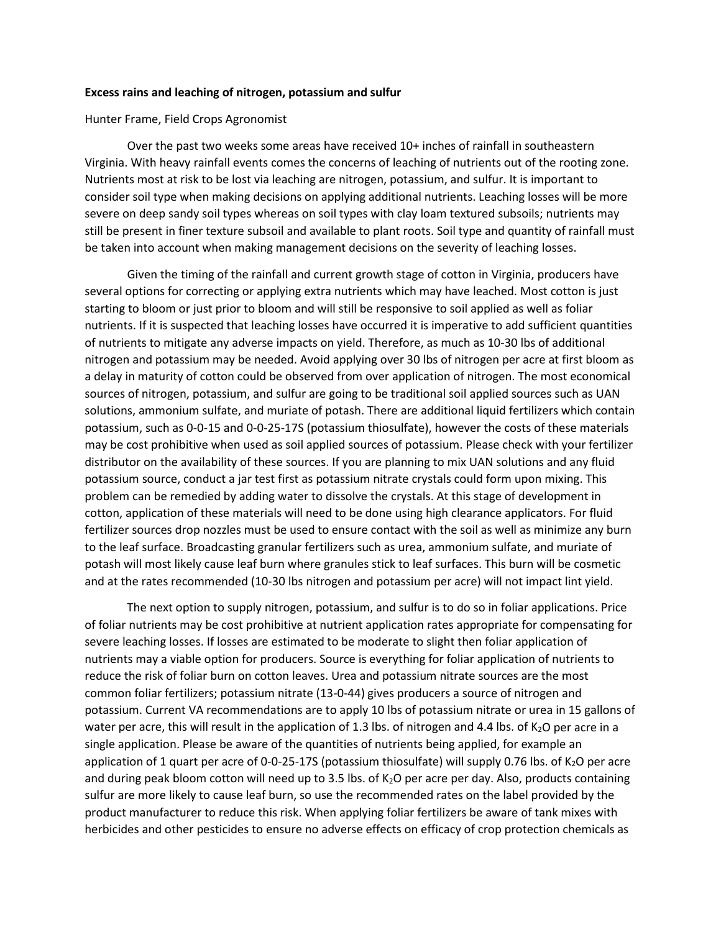## **Excess rains and leaching of nitrogen, potassium and sulfur**

Hunter Frame, Field Crops Agronomist

Over the past two weeks some areas have received 10+ inches of rainfall in southeastern Virginia. With heavy rainfall events comes the concerns of leaching of nutrients out of the rooting zone. Nutrients most at risk to be lost via leaching are nitrogen, potassium, and sulfur. It is important to consider soil type when making decisions on applying additional nutrients. Leaching losses will be more severe on deep sandy soil types whereas on soil types with clay loam textured subsoils; nutrients may still be present in finer texture subsoil and available to plant roots. Soil type and quantity of rainfall must be taken into account when making management decisions on the severity of leaching losses.

Given the timing of the rainfall and current growth stage of cotton in Virginia, producers have several options for correcting or applying extra nutrients which may have leached. Most cotton is just starting to bloom or just prior to bloom and will still be responsive to soil applied as well as foliar nutrients. If it is suspected that leaching losses have occurred it is imperative to add sufficient quantities of nutrients to mitigate any adverse impacts on yield. Therefore, as much as 10-30 lbs of additional nitrogen and potassium may be needed. Avoid applying over 30 lbs of nitrogen per acre at first bloom as a delay in maturity of cotton could be observed from over application of nitrogen. The most economical sources of nitrogen, potassium, and sulfur are going to be traditional soil applied sources such as UAN solutions, ammonium sulfate, and muriate of potash. There are additional liquid fertilizers which contain potassium, such as 0-0-15 and 0-0-25-17S (potassium thiosulfate), however the costs of these materials may be cost prohibitive when used as soil applied sources of potassium. Please check with your fertilizer distributor on the availability of these sources. If you are planning to mix UAN solutions and any fluid potassium source, conduct a jar test first as potassium nitrate crystals could form upon mixing. This problem can be remedied by adding water to dissolve the crystals. At this stage of development in cotton, application of these materials will need to be done using high clearance applicators. For fluid fertilizer sources drop nozzles must be used to ensure contact with the soil as well as minimize any burn to the leaf surface. Broadcasting granular fertilizers such as urea, ammonium sulfate, and muriate of potash will most likely cause leaf burn where granules stick to leaf surfaces. This burn will be cosmetic and at the rates recommended (10-30 lbs nitrogen and potassium per acre) will not impact lint yield.

The next option to supply nitrogen, potassium, and sulfur is to do so in foliar applications. Price of foliar nutrients may be cost prohibitive at nutrient application rates appropriate for compensating for severe leaching losses. If losses are estimated to be moderate to slight then foliar application of nutrients may a viable option for producers. Source is everything for foliar application of nutrients to reduce the risk of foliar burn on cotton leaves. Urea and potassium nitrate sources are the most common foliar fertilizers; potassium nitrate (13-0-44) gives producers a source of nitrogen and potassium. Current VA recommendations are to apply 10 lbs of potassium nitrate or urea in 15 gallons of water per acre, this will result in the application of 1.3 lbs. of nitrogen and 4.4 lbs. of  $K_2O$  per acre in a single application. Please be aware of the quantities of nutrients being applied, for example an application of 1 quart per acre of 0-0-25-17S (potassium thiosulfate) will supply 0.76 lbs. of K<sub>2</sub>O per acre and during peak bloom cotton will need up to 3.5 lbs. of K<sub>2</sub>O per acre per day. Also, products containing sulfur are more likely to cause leaf burn, so use the recommended rates on the label provided by the product manufacturer to reduce this risk. When applying foliar fertilizers be aware of tank mixes with herbicides and other pesticides to ensure no adverse effects on efficacy of crop protection chemicals as